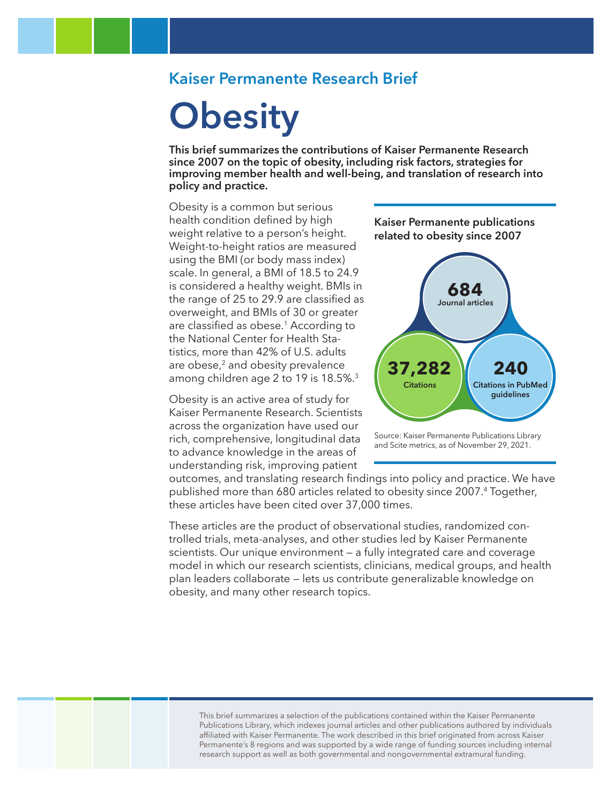### **Kaiser Permanente Research Brief**

# **Obesity**

**This brief summarizes the contributions of Kaiser Permanente Research since 2007 on the topic of obesity, including risk factors, strategies for improving member health and well-being, and translation of research into policy and practice.** 

Obesity is a common but serious health condition defined by high weight relative to a person's height. Weight-to-height ratios are measured using the BMI (or body mass index) scale. In general, a BMI of 18.5 to 24.9 is considered a healthy weight. BMIs in the range of 25 to 29.9 are classified as overweight, and BMIs of 30 or greater are classified as obese.1 According to the National Center for Health Statistics, more than 42% of U.S. adults are obese,<sup>2</sup> and obesity prevalence among children age 2 to 19 is 18.5%.3

Obesity is an active area of study for Kaiser Permanente Research. Scientists across the organization have used our rich, comprehensive, longitudinal data to advance knowledge in the areas of understanding risk, improving patient

**Kaiser Permanente publications related to obesity since 2007**



Source: Kaiser Permanente Publications Library and Scite metrics, as of November 29, 2021.

outcomes, and translating research findings into policy and practice. We have published more than 680 articles related to obesity since 2007.4 Together, these articles have been cited over 37,000 times.

These articles are the product of observational studies, randomized controlled trials, meta-analyses, and other studies led by Kaiser Permanente scientists. Our unique environment — a fully integrated care and coverage model in which our research scientists, clinicians, medical groups, and health plan leaders collaborate — lets us contribute generalizable knowledge on obesity, and many other research topics.

This brief summarizes a selection of the publications contained within the Kaiser Permanente Publications Library, which indexes journal articles and other publications authored by individuals affiliated with Kaiser Permanente. The work described in this brief originated from across Kaiser Permanente's 8 regions and was supported by a wide range of funding sources including internal research support as well as both governmental and nongovernmental extramural funding.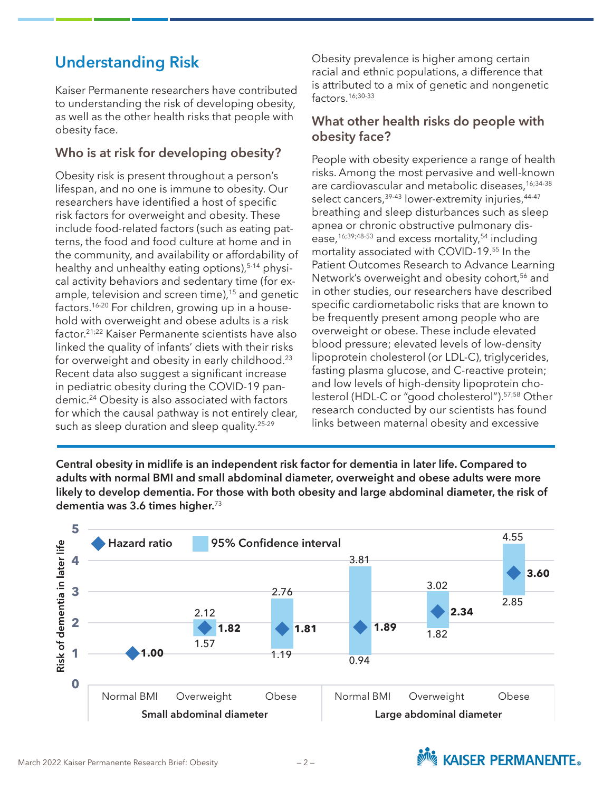# **Understanding Risk**

Kaiser Permanente researchers have contributed to understanding the risk of developing obesity, as well as the other health risks that people with obesity face.

#### **Who is at risk for developing obesity?**

Obesity risk is present throughout a person's lifespan, and no one is immune to obesity. Our researchers have identified a host of specific risk factors for overweight and obesity. These include food-related factors (such as eating patterns, the food and food culture at home and in the community, and availability or affordability of healthy and unhealthy eating options),  $5-14$  physical activity behaviors and sedentary time (for example, television and screen time),<sup>15</sup> and genetic factors.<sup>16-20</sup> For children, growing up in a household with overweight and obese adults is a risk factor.21;22 Kaiser Permanente scientists have also linked the quality of infants' diets with their risks for overweight and obesity in early childhood.<sup>23</sup> Recent data also suggest a significant increase in pediatric obesity during the COVID-19 pandemic.24 Obesity is also associated with factors for which the causal pathway is not entirely clear, such as sleep duration and sleep quality.<sup>25-29</sup>

Obesity prevalence is higher among certain racial and ethnic populations, a difference that is attributed to a mix of genetic and nongenetic factors.16;30-33

#### **What other health risks do people with obesity face?**

People with obesity experience a range of health risks. Among the most pervasive and well-known are cardiovascular and metabolic diseases,<sup>16;34-38</sup> select cancers,<sup>39-43</sup> lower-extremity injuries,<sup>44-47</sup> breathing and sleep disturbances such as sleep apnea or chronic obstructive pulmonary disease,<sup>16;39;48-53</sup> and excess mortality,<sup>54</sup> including mortality associated with COVID-19.55 In the Patient Outcomes Research to Advance Learning Network's overweight and obesity cohort,<sup>56</sup> and in other studies, our researchers have described specific cardiometabolic risks that are known to be frequently present among people who are overweight or obese. These include elevated blood pressure; elevated levels of low-density lipoprotein cholesterol (or LDL-C), triglycerides, fasting plasma glucose, and C-reactive protein; and low levels of high-density lipoprotein cholesterol (HDL-C or "good cholesterol").57;58 Other research conducted by our scientists has found links between maternal obesity and excessive

**Practice Improvement Central obesity in midlife is an independent risk factor for dementia in later life. Compared to adults with normal BMI and small abdominal diameter, overweight and obese adults were more likely to develop dementia. For those with both obesity and large abdominal diameter, the risk of dementia was 3.6 times higher.**<sup>73</sup>



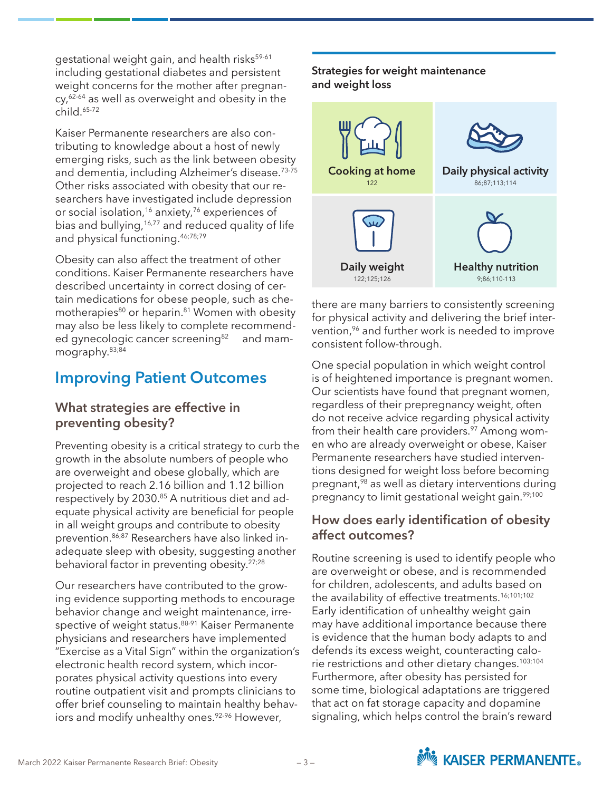gestational weight gain, and health risks<sup>59-61</sup> including gestational diabetes and persistent weight concerns for the mother after pregnan $cy<sub>t</sub>$ <sup>62-64</sup> as well as overweight and obesity in the  $child.65-72$ 

Kaiser Permanente researchers are also contributing to knowledge about a host of newly emerging risks, such as the link between obesity and dementia, including Alzheimer's disease.73-75 Other risks associated with obesity that our researchers have investigated include depression or social isolation,<sup>16</sup> anxiety,<sup>76</sup> experiences of bias and bullying, $16,77$  and reduced quality of life and physical functioning.46;78;79

Obesity can also affect the treatment of other conditions. Kaiser Permanente researchers have described uncertainty in correct dosing of certain medications for obese people, such as chemotherapies<sup>80</sup> or heparin.<sup>81</sup> Women with obesity may also be less likely to complete recommended gynecologic cancer screening<sup>82</sup> and mammography.83;84

## **Improving Patient Outcomes**

#### **What strategies are effective in preventing obesity?**

Preventing obesity is a critical strategy to curb the growth in the absolute numbers of people who are overweight and obese globally, which are projected to reach 2.16 billion and 1.12 billion respectively by 2030.<sup>85</sup> A nutritious diet and adequate physical activity are beneficial for people in all weight groups and contribute to obesity prevention.86;87 Researchers have also linked inadequate sleep with obesity, suggesting another behavioral factor in preventing obesity.27;28

Our researchers have contributed to the growing evidence supporting methods to encourage behavior change and weight maintenance, irrespective of weight status.<sup>88-91</sup> Kaiser Permanente physicians and researchers have implemented "Exercise as a Vital Sign" within the organization's electronic health record system, which incorporates physical activity questions into every routine outpatient visit and prompts clinicians to offer brief counseling to maintain healthy behaviors and modify unhealthy ones.<sup>92-96</sup> However,

#### **Strategies for weight maintenance and weight loss**



there are many barriers to consistently screening for physical activity and delivering the brief intervention,<sup>96</sup> and further work is needed to improve consistent follow-through.

One special population in which weight control is of heightened importance is pregnant women. Our scientists have found that pregnant women, regardless of their prepregnancy weight, often do not receive advice regarding physical activity from their health care providers.<sup>97</sup> Among women who are already overweight or obese, Kaiser Permanente researchers have studied interventions designed for weight loss before becoming pregnant,98 as well as dietary interventions during pregnancy to limit gestational weight gain.<sup>99;100</sup>

#### **How does early identification of obesity affect outcomes?**

Routine screening is used to identify people who are overweight or obese, and is recommended for children, adolescents, and adults based on the availability of effective treatments.<sup>16;101;102</sup> Early identification of unhealthy weight gain may have additional importance because there is evidence that the human body adapts to and defends its excess weight, counteracting calorie restrictions and other dietary changes.103;104 Furthermore, after obesity has persisted for some time, biological adaptations are triggered that act on fat storage capacity and dopamine signaling, which helps control the brain's reward

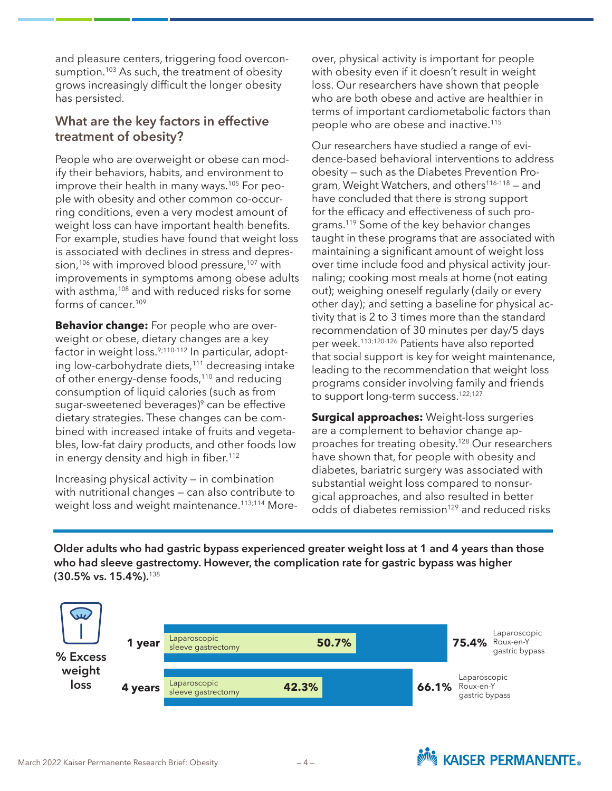and pleasure centers, triggering food overconsumption.<sup>103</sup> As such, the treatment of obesity grows increasingly difficult the longer obesity has persisted.

#### **What are the key factors in effective treatment of obesity?**

People who are overweight or obese can modify their behaviors, habits, and environment to improve their health in many ways.<sup>105</sup> For people with obesity and other common co-occurring conditions, even a very modest amount of weight loss can have important health benefits. For example, studies have found that weight loss is associated with declines in stress and depression,<sup>106</sup> with improved blood pressure,<sup>107</sup> with improvements in symptoms among obese adults with asthma,<sup>108</sup> and with reduced risks for some forms of cancer.109

**Behavior change:** For people who are overweight or obese, dietary changes are a key factor in weight loss.<sup>9;110-112</sup> In particular, adopting low-carbohydrate diets,<sup>111</sup> decreasing intake of other energy-dense foods,<sup>110</sup> and reducing consumption of liquid calories (such as from sugar-sweetened beverages) $\degree$  can be effective dietary strategies. These changes can be combined with increased intake of fruits and vegetables, low-fat dairy products, and other foods low in energy density and high in fiber.<sup>112</sup>

Increasing physical activity — in combination with nutritional changes — can also contribute to weight loss and weight maintenance.<sup>113;114</sup> More-

over, physical activity is important for people with obesity even if it doesn't result in weight loss. Our researchers have shown that people who are both obese and active are healthier in terms of important cardiometabolic factors than people who are obese and inactive.115

Our researchers have studied a range of evidence-based behavioral interventions to address obesity — such as the Diabetes Prevention Program, Weight Watchers, and others<sup>116-118</sup> – and have concluded that there is strong support for the efficacy and effectiveness of such programs.119 Some of the key behavior changes taught in these programs that are associated with maintaining a significant amount of weight loss over time include food and physical activity journaling; cooking most meals at home (not eating out); weighing oneself regularly (daily or every other day); and setting a baseline for physical activity that is 2 to 3 times more than the standard recommendation of 30 minutes per day/5 days per week.113;120-126 Patients have also reported that social support is key for weight maintenance, leading to the recommendation that weight loss programs consider involving family and friends to support long-term success.<sup>122;127</sup>

**Surgical approaches:** Weight-loss surgeries are a complement to behavior change approaches for treating obesity.128 Our researchers have shown that, for people with obesity and diabetes, bariatric surgery was associated with substantial weight loss compared to nonsurgical approaches, and also resulted in better odds of diabetes remission<sup>129</sup> and reduced risks

Older adults who had gastric bypass experienced greater weight loss at 1 and 4 years than those **who had sleeve gastrectomy. However, the complication rate for gastric bypass was higher (30.5% vs. 15.4%).**<sup>138</sup>

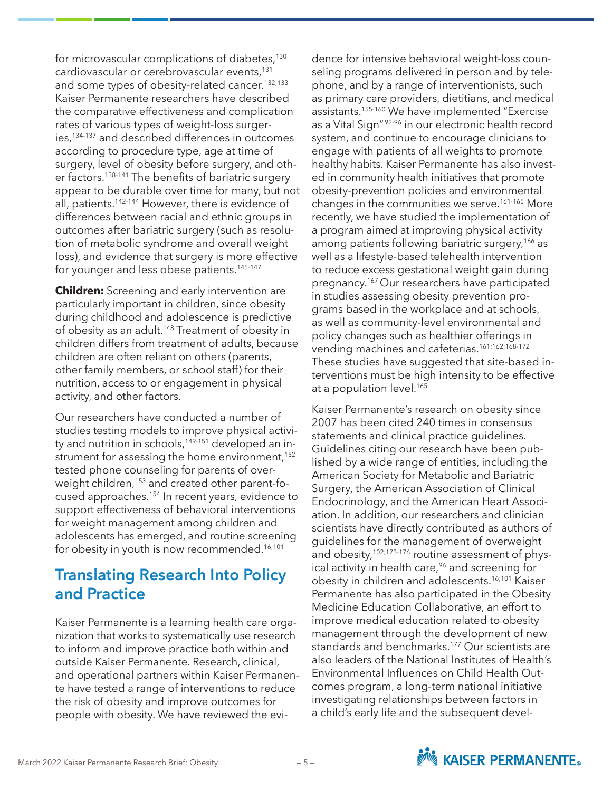for microvascular complications of diabetes,<sup>130</sup> cardiovascular or cerebrovascular events,<sup>131</sup> and some types of obesity-related cancer.132;133 Kaiser Permanente researchers have described the comparative effectiveness and complication rates of various types of weight-loss surgeries,<sup>134-137</sup> and described differences in outcomes according to procedure type, age at time of surgery, level of obesity before surgery, and other factors.138-141 The benefits of bariatric surgery appear to be durable over time for many, but not all, patients.142-144 However, there is evidence of differences between racial and ethnic groups in outcomes after bariatric surgery (such as resolution of metabolic syndrome and overall weight loss), and evidence that surgery is more effective for younger and less obese patients.<sup>145-147</sup>

**Children:** Screening and early intervention are particularly important in children, since obesity during childhood and adolescence is predictive of obesity as an adult.<sup>148</sup> Treatment of obesity in children differs from treatment of adults, because children are often reliant on others (parents, other family members, or school staff) for their nutrition, access to or engagement in physical activity, and other factors.

Our researchers have conducted a number of studies testing models to improve physical activity and nutrition in schools,<sup>149-151</sup> developed an instrument for assessing the home environment,<sup>152</sup> tested phone counseling for parents of overweight children,<sup>153</sup> and created other parent-focused approaches.<sup>154</sup> In recent years, evidence to support effectiveness of behavioral interventions for weight management among children and adolescents has emerged, and routine screening for obesity in youth is now recommended.<sup>16;101</sup>

# **Translating Research Into Policy and Practice**

Kaiser Permanente is a learning health care organization that works to systematically use research to inform and improve practice both within and outside Kaiser Permanente. Research, clinical, and operational partners within Kaiser Permanente have tested a range of interventions to reduce the risk of obesity and improve outcomes for people with obesity. We have reviewed the evi-

dence for intensive behavioral weight-loss counseling programs delivered in person and by telephone, and by a range of interventionists, such as primary care providers, dietitians, and medical assistants.155-160 We have implemented "Exercise as a Vital Sign"<sup>92-96</sup> in our electronic health record system, and continue to encourage clinicians to engage with patients of all weights to promote healthy habits. Kaiser Permanente has also invested in community health initiatives that promote obesity-prevention policies and environmental changes in the communities we serve.<sup>161-165</sup> More recently, we have studied the implementation of a program aimed at improving physical activity among patients following bariatric surgery,<sup>166</sup> as well as a lifestyle-based telehealth intervention to reduce excess gestational weight gain during pregnancy.167 Our researchers have participated in studies assessing obesity prevention programs based in the workplace and at schools, as well as community-level environmental and policy changes such as healthier offerings in vending machines and cafeterias.<sup>161;162;168-172</sup> These studies have suggested that site-based interventions must be high intensity to be effective at a population level.<sup>165</sup>

Kaiser Permanente's research on obesity since 2007 has been cited 240 times in consensus statements and clinical practice guidelines. Guidelines citing our research have been published by a wide range of entities, including the American Society for Metabolic and Bariatric Surgery, the American Association of Clinical Endocrinology, and the American Heart Association. In addition, our researchers and clinician scientists have directly contributed as authors of guidelines for the management of overweight and obesity,<sup>102;173-176</sup> routine assessment of physical activity in health care,<sup>96</sup> and screening for obesity in children and adolescents.16;101 Kaiser Permanente has also participated in the Obesity Medicine Education Collaborative, an effort to improve medical education related to obesity management through the development of new standards and benchmarks.<sup>177</sup> Our scientists are also leaders of the National Institutes of Health's Environmental Influences on Child Health Outcomes program, a long-term national initiative investigating relationships between factors in a child's early life and the subsequent devel-



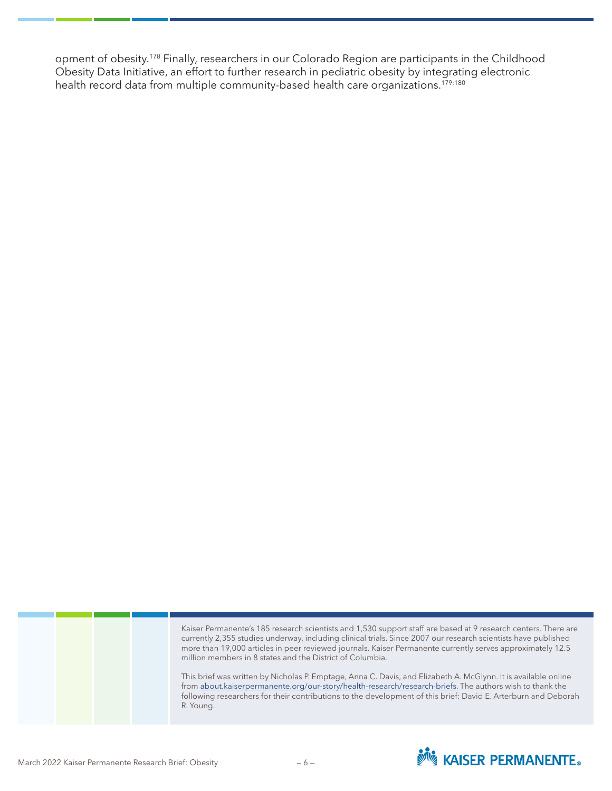opment of obesity.178 Finally, researchers in our Colorado Region are participants in the Childhood Obesity Data Initiative, an effort to further research in pediatric obesity by integrating electronic health record data from multiple community-based health care organizations.<sup>179;180</sup>

> Kaiser Permanente's 185 research scientists and 1,530 support staff are based at 9 research centers. There are currently 2,355 studies underway, including clinical trials. Since 2007 our research scientists have published more than 19,000 articles in peer reviewed journals. Kaiser Permanente currently serves approximately 12.5 million members in 8 states and the District of Columbia.

> This brief was written by Nicholas P. Emptage, Anna C. Davis, and Elizabeth A. McGlynn. It is available online from [about.kaiserpermanente.org/our-story/health-research/research-briefs.](http://about.kaiserpermanente.org/our-story/health-research/research-briefs) The authors wish to thank the following researchers for their contributions to the development of this brief: David E. Arterburn and Deborah R. Young.



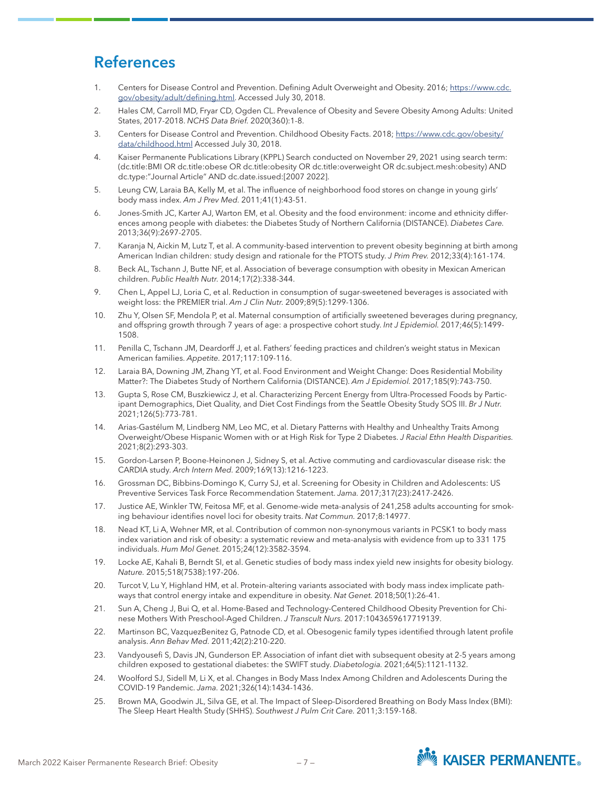## **References**

- 1. Centers for Disease Control and Prevention. Defining Adult Overweight and Obesity. 2016; [https://www.cdc.](https://www.cdc.gov/obesity/adult/defining.html) [gov/obesity/adult/defining.html.](https://www.cdc.gov/obesity/adult/defining.html) Accessed July 30, 2018.
- 2. Hales CM, Carroll MD, Fryar CD, Ogden CL. Prevalence of Obesity and Severe Obesity Among Adults: United States, 2017-2018. *NCHS Data Brief.* 2020(360):1-8.
- 3. Centers for Disease Control and Prevention. Childhood Obesity Facts. 2018; [https://www.cdc.gov/obesity/](https://www.cdc.gov/obesity/data/childhood.html) [data/childhood.html](https://www.cdc.gov/obesity/data/childhood.html) Accessed July 30, 2018.
- 4. Kaiser Permanente Publications Library (KPPL) Search conducted on November 29, 2021 using search term: (dc.title:BMI OR dc.title:obese OR dc.title:obesity OR dc.title:overweight OR dc.subject.mesh:obesity) AND dc.type:"Journal Article" AND dc.date.issued:[2007 2022].
- 5. Leung CW, Laraia BA, Kelly M, et al. The influence of neighborhood food stores on change in young girls' body mass index. *Am J Prev Med.* 2011;41(1):43-51.
- 6. Jones-Smith JC, Karter AJ, Warton EM, et al. Obesity and the food environment: income and ethnicity differences among people with diabetes: the Diabetes Study of Northern California (DISTANCE). *Diabetes Care.*  2013;36(9):2697-2705.
- 7. Karanja N, Aickin M, Lutz T, et al. A community-based intervention to prevent obesity beginning at birth among American Indian children: study design and rationale for the PTOTS study. *J Prim Prev.* 2012;33(4):161-174.
- 8. Beck AL, Tschann J, Butte NF, et al. Association of beverage consumption with obesity in Mexican American children. *Public Health Nutr.* 2014;17(2):338-344.
- 9. Chen L, Appel LJ, Loria C, et al. Reduction in consumption of sugar-sweetened beverages is associated with weight loss: the PREMIER trial. *Am J Clin Nutr.* 2009;89(5):1299-1306.
- 10. Zhu Y, Olsen SF, Mendola P, et al. Maternal consumption of artificially sweetened beverages during pregnancy, and offspring growth through 7 years of age: a prospective cohort study. *Int J Epidemiol.* 2017;46(5):1499- 1508.
- 11. Penilla C, Tschann JM, Deardorff J, et al. Fathers' feeding practices and children's weight status in Mexican American families. *Appetite.* 2017;117:109-116.
- 12. Laraia BA, Downing JM, Zhang YT, et al. Food Environment and Weight Change: Does Residential Mobility Matter?: The Diabetes Study of Northern California (DISTANCE). *Am J Epidemiol.* 2017;185(9):743-750.
- 13. Gupta S, Rose CM, Buszkiewicz J, et al. Characterizing Percent Energy from Ultra-Processed Foods by Participant Demographics, Diet Quality, and Diet Cost Findings from the Seattle Obesity Study SOS III. *Br J Nutr.*  2021;126(5):773-781.
- 14. Arias-Gastélum M, Lindberg NM, Leo MC, et al. Dietary Patterns with Healthy and Unhealthy Traits Among Overweight/Obese Hispanic Women with or at High Risk for Type 2 Diabetes. *J Racial Ethn Health Disparities.*  2021;8(2):293-303.
- 15. Gordon-Larsen P, Boone-Heinonen J, Sidney S, et al. Active commuting and cardiovascular disease risk: the CARDIA study. *Arch Intern Med.* 2009;169(13):1216-1223.
- 16. Grossman DC, Bibbins-Domingo K, Curry SJ, et al. Screening for Obesity in Children and Adolescents: US Preventive Services Task Force Recommendation Statement. *Jama.* 2017;317(23):2417-2426.
- 17. Justice AE, Winkler TW, Feitosa MF, et al. Genome-wide meta-analysis of 241,258 adults accounting for smoking behaviour identifies novel loci for obesity traits. *Nat Commun.* 2017;8:14977.
- 18. Nead KT, Li A, Wehner MR, et al. Contribution of common non-synonymous variants in PCSK1 to body mass index variation and risk of obesity: a systematic review and meta-analysis with evidence from up to 331 175 individuals. *Hum Mol Genet.* 2015;24(12):3582-3594.
- 19. Locke AE, Kahali B, Berndt SI, et al. Genetic studies of body mass index yield new insights for obesity biology. *Nature.* 2015;518(7538):197-206.
- 20. Turcot V, Lu Y, Highland HM, et al. Protein-altering variants associated with body mass index implicate pathways that control energy intake and expenditure in obesity. *Nat Genet.* 2018;50(1):26-41.
- 21. Sun A, Cheng J, Bui Q, et al. Home-Based and Technology-Centered Childhood Obesity Prevention for Chinese Mothers With Preschool-Aged Children. *J Transcult Nurs.* 2017:1043659617719139.
- 22. Martinson BC, VazquezBenitez G, Patnode CD, et al. Obesogenic family types identified through latent profile analysis. *Ann Behav Med.* 2011;42(2):210-220.
- 23. Vandyousefi S, Davis JN, Gunderson EP. Association of infant diet with subsequent obesity at 2-5 years among children exposed to gestational diabetes: the SWIFT study. *Diabetologia.* 2021;64(5):1121-1132.
- 24. Woolford SJ, Sidell M, Li X, et al. Changes in Body Mass Index Among Children and Adolescents During the COVID-19 Pandemic. *Jama.* 2021;326(14):1434-1436.
- 25. Brown MA, Goodwin JL, Silva GE, et al. The Impact of Sleep-Disordered Breathing on Body Mass Index (BMI): The Sleep Heart Health Study (SHHS). *Southwest J Pulm Crit Care.* 2011;3:159-168.

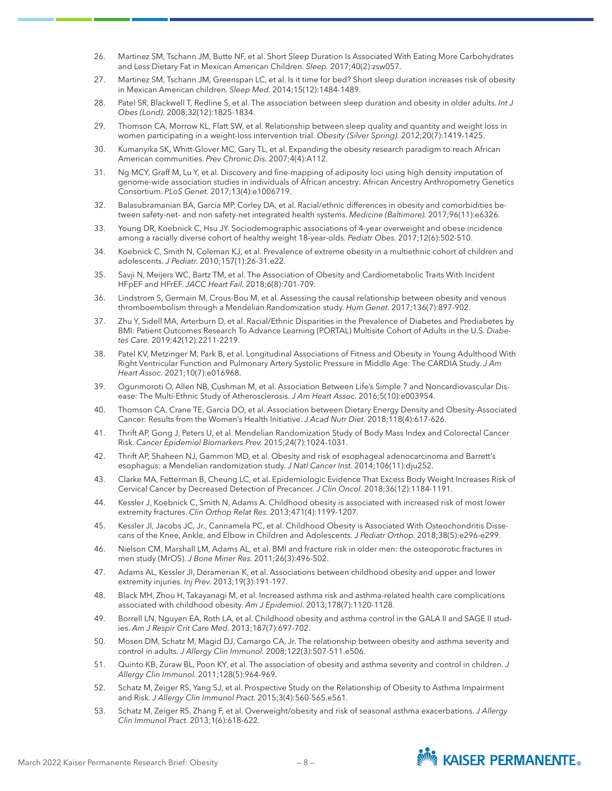- 26. Martinez SM, Tschann JM, Butte NF, et al. Short Sleep Duration Is Associated With Eating More Carbohydrates and Less Dietary Fat in Mexican American Children. *Sleep.* 2017;40(2):zsw057.
- 27. Martinez SM, Tschann JM, Greenspan LC, et al. Is it time for bed? Short sleep duration increases risk of obesity in Mexican American children. *Sleep Med.* 2014;15(12):1484-1489.
- 28. Patel SR, Blackwell T, Redline S, et al. The association between sleep duration and obesity in older adults. *Int J Obes (Lond).* 2008;32(12):1825-1834.
- 29. Thomson CA, Morrow KL, Flatt SW, et al. Relationship between sleep quality and quantity and weight loss in women participating in a weight-loss intervention trial. *Obesity (Silver Spring).* 2012;20(7):1419-1425.
- 30. Kumanyika SK, Whitt-Glover MC, Gary TL, et al. Expanding the obesity research paradigm to reach African American communities. *Prev Chronic Dis.* 2007;4(4):A112.
- 31. Ng MCY, Graff M, Lu Y, et al. Discovery and fine-mapping of adiposity loci using high density imputation of genome-wide association studies in individuals of African ancestry: African Ancestry Anthropometry Genetics Consortium. *PLoS Genet.* 2017;13(4):e1006719.
- 32. Balasubramanian BA, Garcia MP, Corley DA, et al. Racial/ethnic differences in obesity and comorbidities between safety-net- and non safety-net integrated health systems. *Medicine (Baltimore).* 2017;96(11):e6326.
- 33. Young DR, Koebnick C, Hsu JY. Sociodemographic associations of 4-year overweight and obese incidence among a racially diverse cohort of healthy weight 18-year-olds. *Pediatr Obes.* 2017;12(6):502-510.
- 34. Koebnick C, Smith N, Coleman KJ, et al. Prevalence of extreme obesity in a multiethnic cohort of children and adolescents. *J Pediatr.* 2010;157(1):26-31.e22.
- 35. Savji N, Meijers WC, Bartz TM, et al. The Association of Obesity and Cardiometabolic Traits With Incident HFpEF and HFrEF. *JACC Heart Fail.* 2018;6(8):701-709.
- 36. Lindstrom S, Germain M, Crous-Bou M, et al. Assessing the causal relationship between obesity and venous thromboembolism through a Mendelian Randomization study. *Hum Genet.* 2017;136(7):897-902.
- 37. Zhu Y, Sidell MA, Arterburn D, et al. Racial/Ethnic Disparities in the Prevalence of Diabetes and Prediabetes by BMI: Patient Outcomes Research To Advance Learning (PORTAL) Multisite Cohort of Adults in the U.S. *Diabetes Care.* 2019;42(12):2211-2219.
- 38. Patel KV, Metzinger M, Park B, et al. Longitudinal Associations of Fitness and Obesity in Young Adulthood With Right Ventricular Function and Pulmonary Artery Systolic Pressure in Middle Age: The CARDIA Study. *J Am Heart Assoc.* 2021;10(7):e016968.
- 39. Ogunmoroti O, Allen NB, Cushman M, et al. Association Between Life's Simple 7 and Noncardiovascular Disease: The Multi-Ethnic Study of Atherosclerosis. *J Am Heart Assoc.* 2016;5(10):e003954.
- 40. Thomson CA, Crane TE, Garcia DO, et al. Association between Dietary Energy Density and Obesity-Associated Cancer: Results from the Women's Health Initiative. *J Acad Nutr Diet.* 2018;118(4):617-626.
- 41. Thrift AP, Gong J, Peters U, et al. Mendelian Randomization Study of Body Mass Index and Colorectal Cancer Risk. *Cancer Epidemiol Biomarkers Prev.* 2015;24(7):1024-1031.
- 42. Thrift AP, Shaheen NJ, Gammon MD, et al. Obesity and risk of esophageal adenocarcinoma and Barrett's esophagus: a Mendelian randomization study. *J Natl Cancer Inst.* 2014;106(11):dju252.
- 43. Clarke MA, Fetterman B, Cheung LC, et al. Epidemiologic Evidence That Excess Body Weight Increases Risk of Cervical Cancer by Decreased Detection of Precancer. *J Clin Oncol.* 2018;36(12):1184-1191.
- 44. Kessler J, Koebnick C, Smith N, Adams A. Childhood obesity is associated with increased risk of most lower extremity fractures. *Clin Orthop Relat Res.* 2013;471(4):1199-1207.
- 45. Kessler JI, Jacobs JC, Jr., Cannamela PC, et al. Childhood Obesity is Associated With Osteochondritis Dissecans of the Knee, Ankle, and Elbow in Children and Adolescents. *J Pediatr Orthop.* 2018;38(5):e296-e299.
- 46. Nielson CM, Marshall LM, Adams AL, et al. BMI and fracture risk in older men: the osteoporotic fractures in men study (MrOS). *J Bone Miner Res.* 2011;26(3):496-502.
- 47. Adams AL, Kessler JI, Deramerian K, et al. Associations between childhood obesity and upper and lower extremity injuries. *Inj Prev.* 2013;19(3):191-197.
- 48. Black MH, Zhou H, Takayanagi M, et al. Increased asthma risk and asthma-related health care complications associated with childhood obesity. *Am J Epidemiol.* 2013;178(7):1120-1128.
- 49. Borrell LN, Nguyen EA, Roth LA, et al. Childhood obesity and asthma control in the GALA II and SAGE II studies. *Am J Respir Crit Care Med.* 2013;187(7):697-702.
- 50. Mosen DM, Schatz M, Magid DJ, Camargo CA, Jr. The relationship between obesity and asthma severity and control in adults. *J Allergy Clin Immunol.* 2008;122(3):507-511.e506.
- 51. Quinto KB, Zuraw BL, Poon KY, et al. The association of obesity and asthma severity and control in children. *J Allergy Clin Immunol.* 2011;128(5):964-969.
- 52. Schatz M, Zeiger RS, Yang SJ, et al. Prospective Study on the Relationship of Obesity to Asthma Impairment and Risk. *J Allergy Clin Immunol Pract.* 2015;3(4):560-565.e561.
- 53. Schatz M, Zeiger RS, Zhang F, et al. Overweight/obesity and risk of seasonal asthma exacerbations. *J Allergy Clin Immunol Pract.* 2013;1(6):618-622.

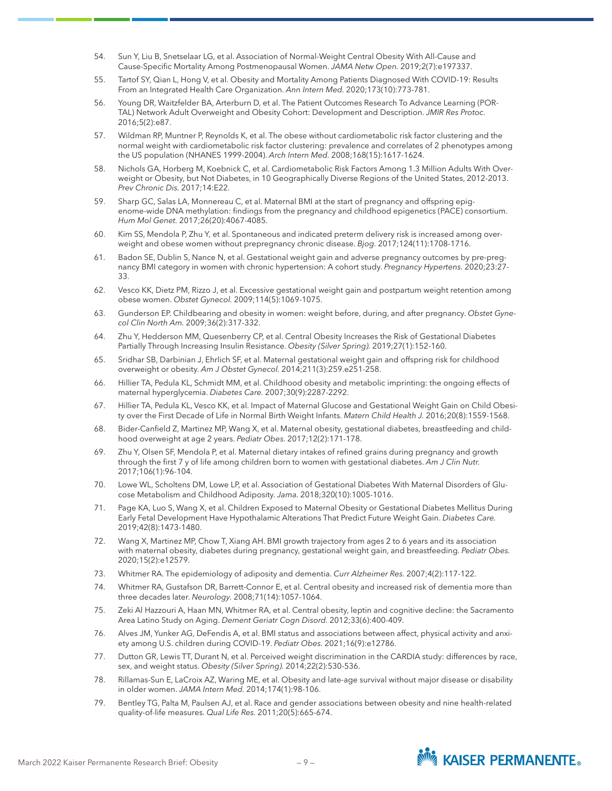- 54. Sun Y, Liu B, Snetselaar LG, et al. Association of Normal-Weight Central Obesity With All-Cause and Cause-Specific Mortality Among Postmenopausal Women. *JAMA Netw Open.* 2019;2(7):e197337.
- 55. Tartof SY, Qian L, Hong V, et al. Obesity and Mortality Among Patients Diagnosed With COVID-19: Results From an Integrated Health Care Organization. *Ann Intern Med.* 2020;173(10):773-781.
- 56. Young DR, Waitzfelder BA, Arterburn D, et al. The Patient Outcomes Research To Advance Learning (POR-TAL) Network Adult Overweight and Obesity Cohort: Development and Description. *JMIR Res Protoc.*  2016;5(2):e87.
- 57. Wildman RP, Muntner P, Reynolds K, et al. The obese without cardiometabolic risk factor clustering and the normal weight with cardiometabolic risk factor clustering: prevalence and correlates of 2 phenotypes among the US population (NHANES 1999-2004). *Arch Intern Med.* 2008;168(15):1617-1624.
- 58. Nichols GA, Horberg M, Koebnick C, et al. Cardiometabolic Risk Factors Among 1.3 Million Adults With Overweight or Obesity, but Not Diabetes, in 10 Geographically Diverse Regions of the United States, 2012-2013. *Prev Chronic Dis.* 2017;14:E22.
- 59. Sharp GC, Salas LA, Monnereau C, et al. Maternal BMI at the start of pregnancy and offspring epigenome-wide DNA methylation: findings from the pregnancy and childhood epigenetics (PACE) consortium. *Hum Mol Genet.* 2017;26(20):4067-4085.
- 60. Kim SS, Mendola P, Zhu Y, et al. Spontaneous and indicated preterm delivery risk is increased among overweight and obese women without prepregnancy chronic disease. *Bjog.* 2017;124(11):1708-1716.
- 61. Badon SE, Dublin S, Nance N, et al. Gestational weight gain and adverse pregnancy outcomes by pre-pregnancy BMI category in women with chronic hypertension: A cohort study. *Pregnancy Hypertens.* 2020;23:27- 33.
- 62. Vesco KK, Dietz PM, Rizzo J, et al. Excessive gestational weight gain and postpartum weight retention among obese women. *Obstet Gynecol.* 2009;114(5):1069-1075.
- 63. Gunderson EP. Childbearing and obesity in women: weight before, during, and after pregnancy. *Obstet Gynecol Clin North Am.* 2009;36(2):317-332.
- 64. Zhu Y, Hedderson MM, Quesenberry CP, et al. Central Obesity Increases the Risk of Gestational Diabetes Partially Through Increasing Insulin Resistance. *Obesity (Silver Spring).* 2019;27(1):152-160.
- 65. Sridhar SB, Darbinian J, Ehrlich SF, et al. Maternal gestational weight gain and offspring risk for childhood overweight or obesity. *Am J Obstet Gynecol.* 2014;211(3):259.e251-258.
- 66. Hillier TA, Pedula KL, Schmidt MM, et al. Childhood obesity and metabolic imprinting: the ongoing effects of maternal hyperglycemia. *Diabetes Care.* 2007;30(9):2287-2292.
- 67. Hillier TA, Pedula KL, Vesco KK, et al. Impact of Maternal Glucose and Gestational Weight Gain on Child Obesity over the First Decade of Life in Normal Birth Weight Infants. *Matern Child Health J.* 2016;20(8):1559-1568.
- 68. Bider-Canfield Z, Martinez MP, Wang X, et al. Maternal obesity, gestational diabetes, breastfeeding and childhood overweight at age 2 years. *Pediatr Obes.* 2017;12(2):171-178.
- 69. Zhu Y, Olsen SF, Mendola P, et al. Maternal dietary intakes of refined grains during pregnancy and growth through the first 7 y of life among children born to women with gestational diabetes. *Am J Clin Nutr.*  2017;106(1):96-104.
- 70. Lowe WL, Scholtens DM, Lowe LP, et al. Association of Gestational Diabetes With Maternal Disorders of Glucose Metabolism and Childhood Adiposity. *Jama.* 2018;320(10):1005-1016.
- 71. Page KA, Luo S, Wang X, et al. Children Exposed to Maternal Obesity or Gestational Diabetes Mellitus During Early Fetal Development Have Hypothalamic Alterations That Predict Future Weight Gain. *Diabetes Care.*  2019;42(8):1473-1480.
- 72. Wang X, Martinez MP, Chow T, Xiang AH. BMI growth trajectory from ages 2 to 6 years and its association with maternal obesity, diabetes during pregnancy, gestational weight gain, and breastfeeding. *Pediatr Obes.*  2020;15(2):e12579.
- 73. Whitmer RA. The epidemiology of adiposity and dementia. *Curr Alzheimer Res.* 2007;4(2):117-122.
- 74. Whitmer RA, Gustafson DR, Barrett-Connor E, et al. Central obesity and increased risk of dementia more than three decades later. *Neurology.* 2008;71(14):1057-1064.
- 75. Zeki Al Hazzouri A, Haan MN, Whitmer RA, et al. Central obesity, leptin and cognitive decline: the Sacramento Area Latino Study on Aging. *Dement Geriatr Cogn Disord.* 2012;33(6):400-409.
- 76. Alves JM, Yunker AG, DeFendis A, et al. BMI status and associations between affect, physical activity and anxiety among U.S. children during COVID-19. *Pediatr Obes.* 2021;16(9):e12786.
- 77. Dutton GR, Lewis TT, Durant N, et al. Perceived weight discrimination in the CARDIA study: differences by race, sex, and weight status. *Obesity (Silver Spring).* 2014;22(2):530-536.
- 78. Rillamas-Sun E, LaCroix AZ, Waring ME, et al. Obesity and late-age survival without major disease or disability in older women. *JAMA Intern Med.* 2014;174(1):98-106.
- 79. Bentley TG, Palta M, Paulsen AJ, et al. Race and gender associations between obesity and nine health-related quality-of-life measures. *Qual Life Res.* 2011;20(5):665-674.

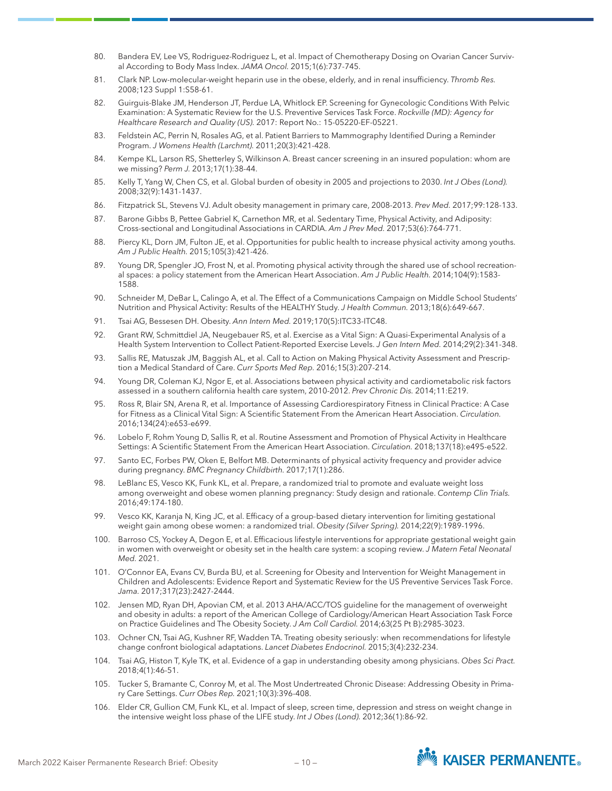- 80. Bandera EV, Lee VS, Rodriguez-Rodriguez L, et al. Impact of Chemotherapy Dosing on Ovarian Cancer Survival According to Body Mass Index. *JAMA Oncol.* 2015;1(6):737-745.
- 81. Clark NP. Low-molecular-weight heparin use in the obese, elderly, and in renal insufficiency. *Thromb Res.*  2008;123 Suppl 1:S58-61.
- 82. Guirguis-Blake JM, Henderson JT, Perdue LA, Whitlock EP. Screening for Gynecologic Conditions With Pelvic Examination: A Systematic Review for the U.S. Preventive Services Task Force. *Rockville (MD): Agency for Healthcare Research and Quality (US).* 2017: Report No.: 15-05220-EF-05221.
- 83. Feldstein AC, Perrin N, Rosales AG, et al. Patient Barriers to Mammography Identified During a Reminder Program. *J Womens Health (Larchmt).* 2011;20(3):421-428.
- 84. Kempe KL, Larson RS, Shetterley S, Wilkinson A. Breast cancer screening in an insured population: whom are we missing? *Perm J.* 2013;17(1):38-44.
- 85. Kelly T, Yang W, Chen CS, et al. Global burden of obesity in 2005 and projections to 2030. *Int J Obes (Lond).*  2008;32(9):1431-1437.
- 86. Fitzpatrick SL, Stevens VJ. Adult obesity management in primary care, 2008-2013. *Prev Med.* 2017;99:128-133.
- 87. Barone Gibbs B, Pettee Gabriel K, Carnethon MR, et al. Sedentary Time, Physical Activity, and Adiposity: Cross-sectional and Longitudinal Associations in CARDIA. *Am J Prev Med.* 2017;53(6):764-771.
- 88. Piercy KL, Dorn JM, Fulton JE, et al. Opportunities for public health to increase physical activity among youths. *Am J Public Health.* 2015;105(3):421-426.
- 89. Young DR, Spengler JO, Frost N, et al. Promoting physical activity through the shared use of school recreational spaces: a policy statement from the American Heart Association. *Am J Public Health.* 2014;104(9):1583- 1588.
- 90. Schneider M, DeBar L, Calingo A, et al. The Effect of a Communications Campaign on Middle School Students' Nutrition and Physical Activity: Results of the HEALTHY Study. *J Health Commun.* 2013;18(6):649-667.
- 91. Tsai AG, Bessesen DH. Obesity. *Ann Intern Med.* 2019;170(5):ITC33-ITC48.
- 92. Grant RW, Schmittdiel JA, Neugebauer RS, et al. Exercise as a Vital Sign: A Quasi-Experimental Analysis of a Health System Intervention to Collect Patient-Reported Exercise Levels. *J Gen Intern Med.* 2014;29(2):341-348.
- 93. Sallis RE, Matuszak JM, Baggish AL, et al. Call to Action on Making Physical Activity Assessment and Prescription a Medical Standard of Care. *Curr Sports Med Rep.* 2016;15(3):207-214.
- 94. Young DR, Coleman KJ, Ngor E, et al. Associations between physical activity and cardiometabolic risk factors assessed in a southern california health care system, 2010-2012. *Prev Chronic Dis.* 2014;11:E219.
- 95. Ross R, Blair SN, Arena R, et al. Importance of Assessing Cardiorespiratory Fitness in Clinical Practice: A Case for Fitness as a Clinical Vital Sign: A Scientific Statement From the American Heart Association. *Circulation.*  2016;134(24):e653-e699.
- 96. Lobelo F, Rohm Young D, Sallis R, et al. Routine Assessment and Promotion of Physical Activity in Healthcare Settings: A Scientific Statement From the American Heart Association. *Circulation.* 2018;137(18):e495-e522.
- 97. Santo EC, Forbes PW, Oken E, Belfort MB. Determinants of physical activity frequency and provider advice during pregnancy. *BMC Pregnancy Childbirth.* 2017;17(1):286.
- 98. LeBlanc ES, Vesco KK, Funk KL, et al. Prepare, a randomized trial to promote and evaluate weight loss among overweight and obese women planning pregnancy: Study design and rationale. *Contemp Clin Trials.*  2016;49:174-180.
- 99. Vesco KK, Karanja N, King JC, et al. Efficacy of a group-based dietary intervention for limiting gestational weight gain among obese women: a randomized trial. *Obesity (Silver Spring).* 2014;22(9):1989-1996.
- 100. Barroso CS, Yockey A, Degon E, et al. Efficacious lifestyle interventions for appropriate gestational weight gain in women with overweight or obesity set in the health care system: a scoping review. *J Matern Fetal Neonatal Med.* 2021.
- 101. O'Connor EA, Evans CV, Burda BU, et al. Screening for Obesity and Intervention for Weight Management in Children and Adolescents: Evidence Report and Systematic Review for the US Preventive Services Task Force. *Jama.* 2017;317(23):2427-2444.
- 102. Jensen MD, Ryan DH, Apovian CM, et al. 2013 AHA/ACC/TOS guideline for the management of overweight and obesity in adults: a report of the American College of Cardiology/American Heart Association Task Force on Practice Guidelines and The Obesity Society. *J Am Coll Cardiol.* 2014;63(25 Pt B):2985-3023.
- 103. Ochner CN, Tsai AG, Kushner RF, Wadden TA. Treating obesity seriously: when recommendations for lifestyle change confront biological adaptations. *Lancet Diabetes Endocrinol.* 2015;3(4):232-234.
- 104. Tsai AG, Histon T, Kyle TK, et al. Evidence of a gap in understanding obesity among physicians. *Obes Sci Pract.*  2018;4(1):46-51.
- 105. Tucker S, Bramante C, Conroy M, et al. The Most Undertreated Chronic Disease: Addressing Obesity in Primary Care Settings. *Curr Obes Rep.* 2021;10(3):396-408.
- 106. Elder CR, Gullion CM, Funk KL, et al. Impact of sleep, screen time, depression and stress on weight change in the intensive weight loss phase of the LIFE study. *Int J Obes (Lond).* 2012;36(1):86-92.

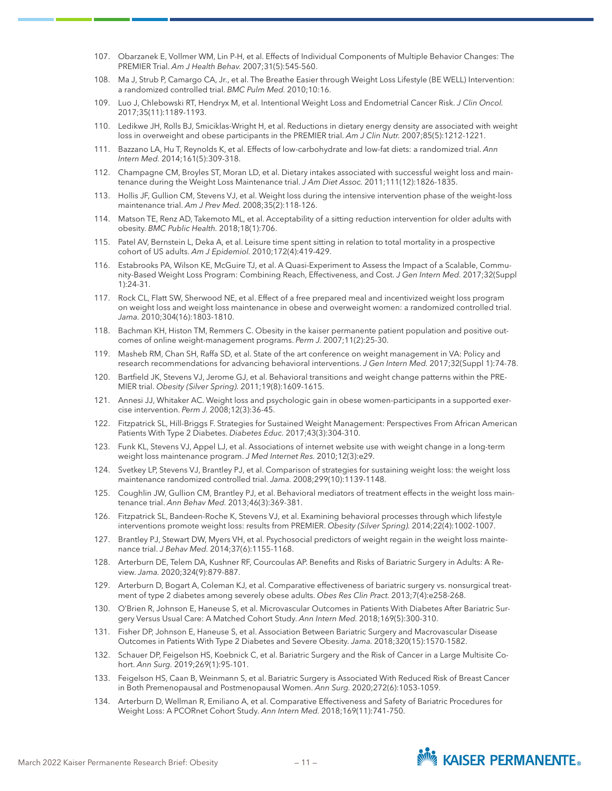- 107. Obarzanek E, Vollmer WM, Lin P-H, et al. Effects of Individual Components of Multiple Behavior Changes: The PREMIER Trial. *Am J Health Behav.* 2007;31(5):545-560.
- 108. Ma J, Strub P, Camargo CA, Jr., et al. The Breathe Easier through Weight Loss Lifestyle (BE WELL) Intervention: a randomized controlled trial. *BMC Pulm Med.* 2010;10:16.
- 109. Luo J, Chlebowski RT, Hendryx M, et al. Intentional Weight Loss and Endometrial Cancer Risk. *J Clin Oncol.*  2017;35(11):1189-1193.
- 110. Ledikwe JH, Rolls BJ, Smiciklas-Wright H, et al. Reductions in dietary energy density are associated with weight loss in overweight and obese participants in the PREMIER trial. *Am J Clin Nutr.* 2007;85(5):1212-1221.
- 111. Bazzano LA, Hu T, Reynolds K, et al. Effects of low-carbohydrate and low-fat diets: a randomized trial. *Ann Intern Med.* 2014;161(5):309-318.
- 112. Champagne CM, Broyles ST, Moran LD, et al. Dietary intakes associated with successful weight loss and maintenance during the Weight Loss Maintenance trial. *J Am Diet Assoc.* 2011;111(12):1826-1835.
- 113. Hollis JF, Gullion CM, Stevens VJ, et al. Weight loss during the intensive intervention phase of the weight-loss maintenance trial. *Am J Prev Med.* 2008;35(2):118-126.
- 114. Matson TE, Renz AD, Takemoto ML, et al. Acceptability of a sitting reduction intervention for older adults with obesity. *BMC Public Health.* 2018;18(1):706.
- 115. Patel AV, Bernstein L, Deka A, et al. Leisure time spent sitting in relation to total mortality in a prospective cohort of US adults. *Am J Epidemiol.* 2010;172(4):419-429.
- 116. Estabrooks PA, Wilson KE, McGuire TJ, et al. A Quasi-Experiment to Assess the Impact of a Scalable, Community-Based Weight Loss Program: Combining Reach, Effectiveness, and Cost. *J Gen Intern Med.* 2017;32(Suppl 1):24-31.
- 117. Rock CL, Flatt SW, Sherwood NE, et al. Effect of a free prepared meal and incentivized weight loss program on weight loss and weight loss maintenance in obese and overweight women: a randomized controlled trial. *Jama.* 2010;304(16):1803-1810.
- 118. Bachman KH, Histon TM, Remmers C. Obesity in the kaiser permanente patient population and positive outcomes of online weight-management programs. *Perm J.* 2007;11(2):25-30.
- 119. Masheb RM, Chan SH, Raffa SD, et al. State of the art conference on weight management in VA: Policy and research recommendations for advancing behavioral interventions. *J Gen Intern Med.* 2017;32(Suppl 1):74-78.
- 120. Bartfield JK, Stevens VJ, Jerome GJ, et al. Behavioral transitions and weight change patterns within the PRE-MIER trial. *Obesity (Silver Spring).* 2011;19(8):1609-1615.
- 121. Annesi JJ, Whitaker AC. Weight loss and psychologic gain in obese women-participants in a supported exercise intervention. *Perm J.* 2008;12(3):36-45.
- 122. Fitzpatrick SL, Hill-Briggs F. Strategies for Sustained Weight Management: Perspectives From African American Patients With Type 2 Diabetes. *Diabetes Educ.* 2017;43(3):304-310.
- 123. Funk KL, Stevens VJ, Appel LJ, et al. Associations of internet website use with weight change in a long-term weight loss maintenance program. *J Med Internet Res.* 2010;12(3):e29.
- 124. Svetkey LP, Stevens VJ, Brantley PJ, et al. Comparison of strategies for sustaining weight loss: the weight loss maintenance randomized controlled trial. *Jama.* 2008;299(10):1139-1148.
- 125. Coughlin JW, Gullion CM, Brantley PJ, et al. Behavioral mediators of treatment effects in the weight loss maintenance trial. *Ann Behav Med.* 2013;46(3):369-381.
- 126. Fitzpatrick SL, Bandeen-Roche K, Stevens VJ, et al. Examining behavioral processes through which lifestyle interventions promote weight loss: results from PREMIER. *Obesity (Silver Spring).* 2014;22(4):1002-1007.
- 127. Brantley PJ, Stewart DW, Myers VH, et al. Psychosocial predictors of weight regain in the weight loss maintenance trial. *J Behav Med.* 2014;37(6):1155-1168.
- 128. Arterburn DE, Telem DA, Kushner RF, Courcoulas AP. Benefits and Risks of Bariatric Surgery in Adults: A Review. *Jama.* 2020;324(9):879-887.
- 129. Arterburn D, Bogart A, Coleman KJ, et al. Comparative effectiveness of bariatric surgery vs. nonsurgical treatment of type 2 diabetes among severely obese adults. *Obes Res Clin Pract.* 2013;7(4):e258-268.
- 130. O'Brien R, Johnson E, Haneuse S, et al. Microvascular Outcomes in Patients With Diabetes After Bariatric Surgery Versus Usual Care: A Matched Cohort Study. *Ann Intern Med.* 2018;169(5):300-310.
- 131. Fisher DP, Johnson E, Haneuse S, et al. Association Between Bariatric Surgery and Macrovascular Disease Outcomes in Patients With Type 2 Diabetes and Severe Obesity. *Jama.* 2018;320(15):1570-1582.
- 132. Schauer DP, Feigelson HS, Koebnick C, et al. Bariatric Surgery and the Risk of Cancer in a Large Multisite Cohort. *Ann Surg.* 2019;269(1):95-101.
- 133. Feigelson HS, Caan B, Weinmann S, et al. Bariatric Surgery is Associated With Reduced Risk of Breast Cancer in Both Premenopausal and Postmenopausal Women. *Ann Surg.* 2020;272(6):1053-1059.
- 134. Arterburn D, Wellman R, Emiliano A, et al. Comparative Effectiveness and Safety of Bariatric Procedures for Weight Loss: A PCORnet Cohort Study. *Ann Intern Med.* 2018;169(11):741-750.

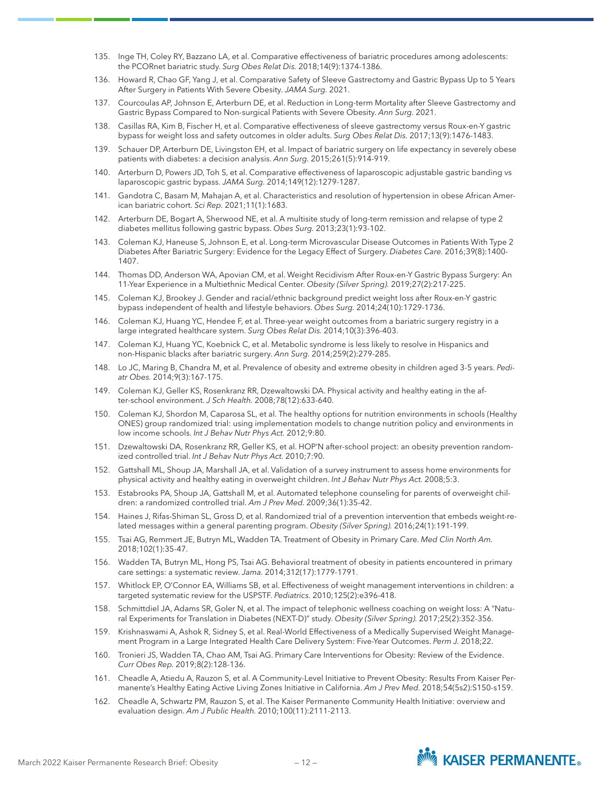- 135. Inge TH, Coley RY, Bazzano LA, et al. Comparative effectiveness of bariatric procedures among adolescents: the PCORnet bariatric study. *Surg Obes Relat Dis.* 2018;14(9):1374-1386.
- 136. Howard R, Chao GF, Yang J, et al. Comparative Safety of Sleeve Gastrectomy and Gastric Bypass Up to 5 Years After Surgery in Patients With Severe Obesity. *JAMA Surg.* 2021.
- 137. Courcoulas AP, Johnson E, Arterburn DE, et al. Reduction in Long-term Mortality after Sleeve Gastrectomy and Gastric Bypass Compared to Non-surgical Patients with Severe Obesity. *Ann Surg.* 2021.
- 138. Casillas RA, Kim B, Fischer H, et al. Comparative effectiveness of sleeve gastrectomy versus Roux-en-Y gastric bypass for weight loss and safety outcomes in older adults. *Surg Obes Relat Dis.* 2017;13(9):1476-1483.
- 139. Schauer DP, Arterburn DE, Livingston EH, et al. Impact of bariatric surgery on life expectancy in severely obese patients with diabetes: a decision analysis. *Ann Surg.* 2015;261(5):914-919.
- 140. Arterburn D, Powers JD, Toh S, et al. Comparative effectiveness of laparoscopic adjustable gastric banding vs laparoscopic gastric bypass. *JAMA Surg.* 2014;149(12):1279-1287.
- 141. Gandotra C, Basam M, Mahajan A, et al. Characteristics and resolution of hypertension in obese African American bariatric cohort. *Sci Rep.* 2021;11(1):1683.
- 142. Arterburn DE, Bogart A, Sherwood NE, et al. A multisite study of long-term remission and relapse of type 2 diabetes mellitus following gastric bypass. *Obes Surg.* 2013;23(1):93-102.
- 143. Coleman KJ, Haneuse S, Johnson E, et al. Long-term Microvascular Disease Outcomes in Patients With Type 2 Diabetes After Bariatric Surgery: Evidence for the Legacy Effect of Surgery. *Diabetes Care.* 2016;39(8):1400- 1407.
- 144. Thomas DD, Anderson WA, Apovian CM, et al. Weight Recidivism After Roux-en-Y Gastric Bypass Surgery: An 11-Year Experience in a Multiethnic Medical Center. *Obesity (Silver Spring).* 2019;27(2):217-225.
- 145. Coleman KJ, Brookey J. Gender and racial/ethnic background predict weight loss after Roux-en-Y gastric bypass independent of health and lifestyle behaviors. *Obes Surg.* 2014;24(10):1729-1736.
- 146. Coleman KJ, Huang YC, Hendee F, et al. Three-year weight outcomes from a bariatric surgery registry in a large integrated healthcare system. *Surg Obes Relat Dis.* 2014;10(3):396-403.
- 147. Coleman KJ, Huang YC, Koebnick C, et al. Metabolic syndrome is less likely to resolve in Hispanics and non-Hispanic blacks after bariatric surgery. *Ann Surg.* 2014;259(2):279-285.
- 148. Lo JC, Maring B, Chandra M, et al. Prevalence of obesity and extreme obesity in children aged 3-5 years. *Pediatr Obes.* 2014;9(3):167-175.
- 149. Coleman KJ, Geller KS, Rosenkranz RR, Dzewaltowski DA. Physical activity and healthy eating in the after-school environment. *J Sch Health.* 2008;78(12):633-640.
- 150. Coleman KJ, Shordon M, Caparosa SL, et al. The healthy options for nutrition environments in schools (Healthy ONES) group randomized trial: using implementation models to change nutrition policy and environments in low income schools. *Int J Behav Nutr Phys Act.* 2012;9:80.
- 151. Dzewaltowski DA, Rosenkranz RR, Geller KS, et al. HOP'N after-school project: an obesity prevention randomized controlled trial. *Int J Behav Nutr Phys Act.* 2010;7:90.
- 152. Gattshall ML, Shoup JA, Marshall JA, et al. Validation of a survey instrument to assess home environments for physical activity and healthy eating in overweight children. *Int J Behav Nutr Phys Act.* 2008;5:3.
- 153. Estabrooks PA, Shoup JA, Gattshall M, et al. Automated telephone counseling for parents of overweight children: a randomized controlled trial. *Am J Prev Med.* 2009;36(1):35-42.
- 154. Haines J, Rifas-Shiman SL, Gross D, et al. Randomized trial of a prevention intervention that embeds weight-related messages within a general parenting program. *Obesity (Silver Spring).* 2016;24(1):191-199.
- 155. Tsai AG, Remmert JE, Butryn ML, Wadden TA. Treatment of Obesity in Primary Care. *Med Clin North Am.*  2018;102(1):35-47.
- 156. Wadden TA, Butryn ML, Hong PS, Tsai AG. Behavioral treatment of obesity in patients encountered in primary care settings: a systematic review. *Jama.* 2014;312(17):1779-1791.
- 157. Whitlock EP, O'Connor EA, Williams SB, et al. Effectiveness of weight management interventions in children: a targeted systematic review for the USPSTF. *Pediatrics.* 2010;125(2):e396-418.
- 158. Schmittdiel JA, Adams SR, Goler N, et al. The impact of telephonic wellness coaching on weight loss: A "Natural Experiments for Translation in Diabetes (NEXT-D)" study. *Obesity (Silver Spring).* 2017;25(2):352-356.
- 159. Krishnaswami A, Ashok R, Sidney S, et al. Real-World Effectiveness of a Medically Supervised Weight Management Program in a Large Integrated Health Care Delivery System: Five-Year Outcomes. *Perm J.* 2018;22.
- 160. Tronieri JS, Wadden TA, Chao AM, Tsai AG. Primary Care Interventions for Obesity: Review of the Evidence. *Curr Obes Rep.* 2019;8(2):128-136.
- 161. Cheadle A, Atiedu A, Rauzon S, et al. A Community-Level Initiative to Prevent Obesity: Results From Kaiser Permanente's Healthy Eating Active Living Zones Initiative in California. *Am J Prev Med.* 2018;54(5s2):S150-s159.
- 162. Cheadle A, Schwartz PM, Rauzon S, et al. The Kaiser Permanente Community Health Initiative: overview and evaluation design. *Am J Public Health.* 2010;100(11):2111-2113.